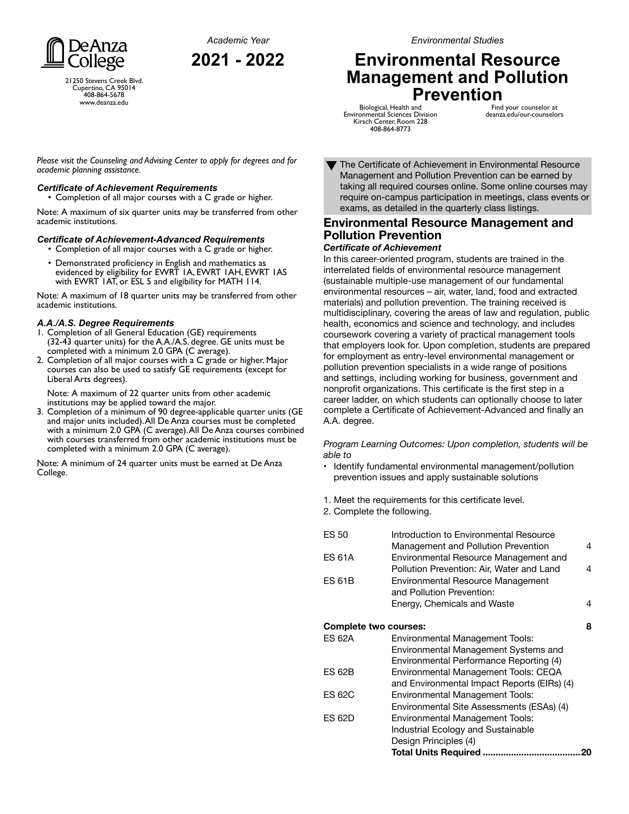*Academic Year* **2021 - 2022**



21250 Stevens Creek Blvd. Cupertino, CA 95014 408-864-5678 www.deanza.edu

*Environmental Studies*

# **Environmental Resource Management and Pollution Prevention**

Biological, Health and Environmental Sciences Division Kirsch Center, Room 228 408-864-8773

Find your counselor at deanza.edu/our-counselors

*Please visit the Counseling and Advising Center to apply for degrees and for academic planning assistance.*

### *Certificate of Achievement Requirements*

• Completion of all major courses with a C grade or higher.

Note: A maximum of six quarter units may be transferred from other academic institutions.

### *Certificate of Achievement-Advanced Requirements*

• Completion of all major courses with a C grade or higher. • Demonstrated proficiency in English and mathematics as evidenced by eligibility for EWRT 1A, EWRT 1AH, EWRT 1AS with EWRT 1AT, or ESL 5 and eligibility for MATH 114.

Note: A maximum of 18 quarter units may be transferred from other academic institutions.

### *A.A./A.S. Degree Requirements*

- 1. Completion of all General Education (GE) requirements (32-43 quarter units) for the A.A./A.S. degree. GE units must be completed with a minimum 2.0 GPA (C average).
- 2. Completion of all major courses with a C grade or higher. Major courses can also be used to satisfy GE requirements (except for Liberal Arts degrees).

Note: A maximum of 22 quarter units from other academic institutions may be applied toward the major.

3. Completion of a minimum of 90 degree-applicable quarter units (GE and major units included). All De Anza courses must be completed with a minimum 2.0 GPA (C average). All De Anza courses combined with courses transferred from other academic institutions must be completed with a minimum 2.0 GPA (C average).

Note: A minimum of 24 quarter units must be earned at De Anza College.

The Certificate of Achievement in Environmental Resource Management and Pollution Prevention can be earned by taking all required courses online. Some online courses may require on-campus participation in meetings, class events or exams, as detailed in the quarterly class listings. ▼

# **Environmental Resource Management and Pollution Prevention**

### *Certificate of Achievement*

In this career-oriented program, students are trained in the interrelated fields of environmental resource management (sustainable multiple-use management of our fundamental environmental resources – air, water, land, food and extracted materials) and pollution prevention. The training received is multidisciplinary, covering the areas of law and regulation, public health, economics and science and technology, and includes coursework covering a variety of practical management tools that employers look for. Upon completion, students are prepared for employment as entry-level environmental management or pollution prevention specialists in a wide range of positions and settings, including working for business, government and nonprofit organizations. This certificate is the first step in a career ladder, on which students can optionally choose to later complete a Certificate of Achievement-Advanced and finally an A.A. degree.

*Program Learning Outcomes: Upon completion, students will be able to*

- Identify fundamental environmental management/pollution prevention issues and apply sustainable solutions
- 1. Meet the requirements for this certificate level.
- 2. Complete the following.

| <b>ES 50</b>               | Introduction to Environmental Resource      |    |  |
|----------------------------|---------------------------------------------|----|--|
|                            | Management and Pollution Prevention         | 4  |  |
| <b>ES 61A</b>              | Environmental Resource Management and       |    |  |
|                            | Pollution Prevention: Air, Water and Land   | 4  |  |
| <b>ES 61B</b>              | Environmental Resource Management           |    |  |
|                            | and Pollution Prevention:                   |    |  |
|                            | Energy, Chemicals and Waste                 | 4  |  |
| 8<br>Complete two courses: |                                             |    |  |
| ES 62A                     | Environmental Management Tools:             |    |  |
|                            | Environmental Management Systems and        |    |  |
|                            | Environmental Performance Reporting (4)     |    |  |
| <b>ES 62B</b>              | Environmental Management Tools: CEQA        |    |  |
|                            | and Environmental Impact Reports (EIRs) (4) |    |  |
| <b>ES 62C</b>              | Environmental Management Tools:             |    |  |
|                            | Environmental Site Assessments (ESAs) (4)   |    |  |
| ES 62D                     | Environmental Management Tools:             |    |  |
|                            | Industrial Ecology and Sustainable          |    |  |
|                            | Design Principles (4)                       |    |  |
|                            | <b>Total Units Required </b>                | 20 |  |
|                            |                                             |    |  |